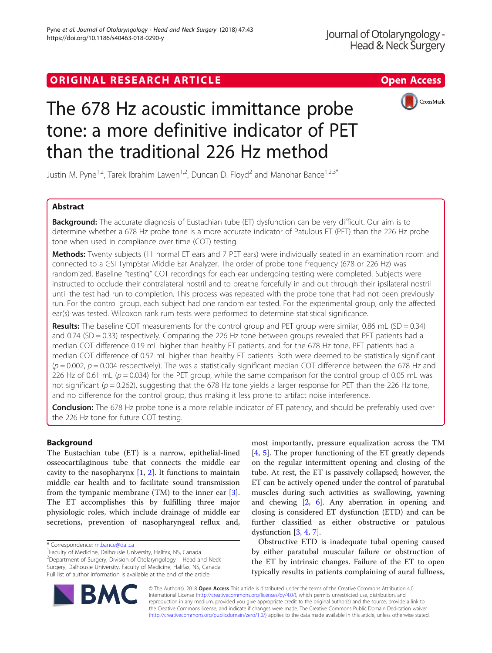# ORIGINAL RESEARCH ARTICLE **Example 20 and 20 and 20 and 20 and 20 and 20 and 20 and 20 and 20 and 20 and 20 and 20 and 20 and 20 and 20 and 20 and 20 and 20 and 20 and 20 and 20 and 20 and 20 and 20 and 20 and 20 and 20 an**



# The 678 Hz acoustic immittance probe tone: a more definitive indicator of PET than the traditional 226 Hz method

Justin M. Pyne<sup>1,2</sup>, Tarek Ibrahim Lawen<sup>1,2</sup>, Duncan D. Floyd<sup>2</sup> and Manohar Bance<sup>1,2,3\*</sup>

# Abstract

**Background:** The accurate diagnosis of Eustachian tube (ET) dysfunction can be very difficult. Our aim is to determine whether a 678 Hz probe tone is a more accurate indicator of Patulous ET (PET) than the 226 Hz probe tone when used in compliance over time (COT) testing.

Methods: Twenty subjects (11 normal ET ears and 7 PET ears) were individually seated in an examination room and connected to a GSI TympStar Middle Ear Analyzer. The order of probe tone frequency (678 or 226 Hz) was randomized. Baseline "testing" COT recordings for each ear undergoing testing were completed. Subjects were instructed to occlude their contralateral nostril and to breathe forcefully in and out through their ipsilateral nostril until the test had run to completion. This process was repeated with the probe tone that had not been previously run. For the control group, each subject had one random ear tested. For the experimental group, only the affected ear(s) was tested. Wilcoxon rank rum tests were performed to determine statistical significance.

**Results:** The baseline COT measurements for the control group and PET group were similar, 0.86 mL (SD = 0.34) and 0.74 (SD = 0.33) respectively. Comparing the 226 Hz tone between groups revealed that PET patients had a median COT difference 0.19 mL higher than healthy ET patients, and for the 678 Hz tone, PET patients had a median COT difference of 0.57 mL higher than healthy ET patients. Both were deemed to be statistically significant  $(p = 0.002, p = 0.004$  respectively). The was a statistically significant median COT difference between the 678 Hz and 226 Hz of 0.61 mL ( $p = 0.034$ ) for the PET group, while the same comparison for the control group of 0.05 mL was not significant ( $p = 0.262$ ), suggesting that the 678 Hz tone yields a larger response for PET than the 226 Hz tone, and no difference for the control group, thus making it less prone to artifact noise interference.

**Conclusion:** The 678 Hz probe tone is a more reliable indicator of ET patency, and should be preferably used over the 226 Hz tone for future COT testing.

# Background

The Eustachian tube (ET) is a narrow, epithelial-lined osseocartilaginous tube that connects the middle ear cavity to the nasopharynx  $[1, 2]$  $[1, 2]$  $[1, 2]$  $[1, 2]$ . It functions to maintain middle ear health and to facilitate sound transmission from the tympanic membrane (TM) to the inner ear [\[3](#page-5-0)]. The ET accomplishes this by fulfilling three major physiologic roles, which include drainage of middle ear secretions, prevention of nasopharyngeal reflux and,

**BM** 

<sup>1</sup> Faculty of Medicine, Dalhousie University, Halifax, NS, Canada <sup>2</sup> Department of Surgery, Division of Otolaryngology – Head and Neck Surgery, Dalhousie University, Faculty of Medicine, Halifax, NS, Canada Full list of author information is available at the end of the article

most importantly, pressure equalization across the TM [[4,](#page-5-0) [5](#page-5-0)]. The proper functioning of the ET greatly depends on the regular intermittent opening and closing of the tube. At rest, the ET is passively collapsed; however, the ET can be actively opened under the control of paratubal muscles during such activities as swallowing, yawning and chewing [\[2,](#page-5-0) [6](#page-5-0)]. Any aberration in opening and closing is considered ET dysfunction (ETD) and can be further classified as either obstructive or patulous dysfunction  $[3, 4, 7]$  $[3, 4, 7]$  $[3, 4, 7]$  $[3, 4, 7]$  $[3, 4, 7]$  $[3, 4, 7]$ .

Obstructive ETD is inadequate tubal opening caused by either paratubal muscular failure or obstruction of the ET by intrinsic changes. Failure of the ET to open typically results in patients complaining of aural fullness,



<sup>\*</sup> Correspondence: [m.bance@dal.ca](mailto:m.bance@dal.ca) <sup>1</sup>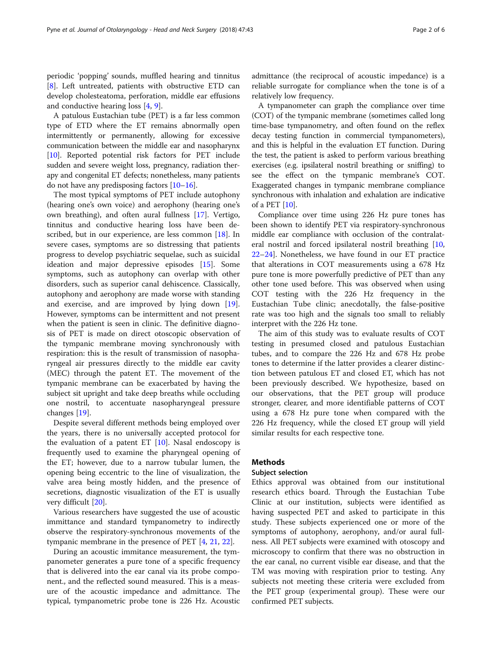periodic 'popping' sounds, muffled hearing and tinnitus [[8\]](#page-5-0). Left untreated, patients with obstructive ETD can develop cholesteatoma, perforation, middle ear effusions and conductive hearing loss [[4,](#page-5-0) [9\]](#page-5-0).

A patulous Eustachian tube (PET) is a far less common type of ETD where the ET remains abnormally open intermittently or permanently, allowing for excessive communication between the middle ear and nasopharynx [[10](#page-5-0)]. Reported potential risk factors for PET include sudden and severe weight loss, pregnancy, radiation therapy and congenital ET defects; nonetheless, many patients do not have any predisposing factors  $[10-16]$  $[10-16]$  $[10-16]$  $[10-16]$ .

The most typical symptoms of PET include autophony (hearing one's own voice) and aerophony (hearing one's own breathing), and often aural fullness [[17\]](#page-5-0). Vertigo, tinnitus and conductive hearing loss have been described, but in our experience, are less common  $[18]$  $[18]$ . In severe cases, symptoms are so distressing that patients progress to develop psychiatric sequelae, such as suicidal ideation and major depressive episodes [\[15](#page-5-0)]. Some symptoms, such as autophony can overlap with other disorders, such as superior canal dehiscence. Classically, autophony and aerophony are made worse with standing and exercise, and are improved by lying down [\[19](#page-5-0)]. However, symptoms can be intermittent and not present when the patient is seen in clinic. The definitive diagnosis of PET is made on direct otoscopic observation of the tympanic membrane moving synchronously with respiration: this is the result of transmission of nasopharyngeal air pressures directly to the middle ear cavity (MEC) through the patent ET. The movement of the tympanic membrane can be exacerbated by having the subject sit upright and take deep breaths while occluding one nostril, to accentuate nasopharyngeal pressure changes [\[19](#page-5-0)].

Despite several different methods being employed over the years, there is no universally accepted protocol for the evaluation of a patent ET  $[10]$  $[10]$ . Nasal endoscopy is frequently used to examine the pharyngeal opening of the ET; however, due to a narrow tubular lumen, the opening being eccentric to the line of visualization, the valve area being mostly hidden, and the presence of secretions, diagnostic visualization of the ET is usually very difficult [\[20](#page-5-0)].

Various researchers have suggested the use of acoustic immittance and standard tympanometry to indirectly observe the respiratory-synchronous movements of the tympanic membrane in the presence of PET [\[4,](#page-5-0) [21,](#page-5-0) [22\]](#page-5-0).

During an acoustic immitance measurement, the tympanometer generates a pure tone of a specific frequency that is delivered into the ear canal via its probe component., and the reflected sound measured. This is a measure of the acoustic impedance and admittance. The typical, tympanometric probe tone is 226 Hz. Acoustic admittance (the reciprocal of acoustic impedance) is a reliable surrogate for compliance when the tone is of a relatively low frequency.

A tympanometer can graph the compliance over time (COT) of the tympanic membrane (sometimes called long time-base tympanometry, and often found on the reflex decay testing function in commercial tympanometers), and this is helpful in the evaluation ET function. During the test, the patient is asked to perform various breathing exercises (e.g. ipsilateral nostril breathing or sniffing) to see the effect on the tympanic membrane's COT. Exaggerated changes in tympanic membrane compliance synchronous with inhalation and exhalation are indicative of a PET [\[10\]](#page-5-0).

Compliance over time using 226 Hz pure tones has been shown to identify PET via respiratory-synchronous middle ear compliance with occlusion of the contralateral nostril and forced ipsilateral nostril breathing [[10](#page-5-0), [22](#page-5-0)–[24](#page-5-0)]. Nonetheless, we have found in our ET practice that alterations in COT measurements using a 678 Hz pure tone is more powerfully predictive of PET than any other tone used before. This was observed when using COT testing with the 226 Hz frequency in the Eustachian Tube clinic; anecdotally, the false-positive rate was too high and the signals too small to reliably interpret with the 226 Hz tone.

The aim of this study was to evaluate results of COT testing in presumed closed and patulous Eustachian tubes, and to compare the 226 Hz and 678 Hz probe tones to determine if the latter provides a clearer distinction between patulous ET and closed ET, which has not been previously described. We hypothesize, based on our observations, that the PET group will produce stronger, clearer, and more identifiable patterns of COT using a 678 Hz pure tone when compared with the 226 Hz frequency, while the closed ET group will yield similar results for each respective tone.

# Methods

## Subject selection

Ethics approval was obtained from our institutional research ethics board. Through the Eustachian Tube Clinic at our institution, subjects were identified as having suspected PET and asked to participate in this study. These subjects experienced one or more of the symptoms of autophony, aerophony, and/or aural fullness. All PET subjects were examined with otoscopy and microscopy to confirm that there was no obstruction in the ear canal, no current visible ear disease, and that the TM was moving with respiration prior to testing. Any subjects not meeting these criteria were excluded from the PET group (experimental group). These were our confirmed PET subjects.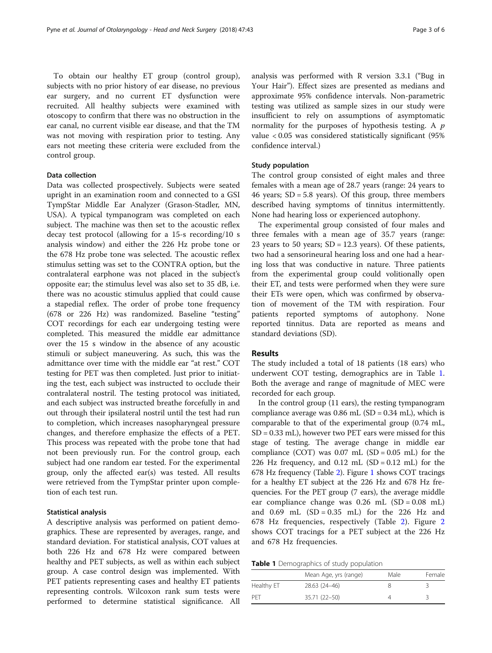To obtain our healthy ET group (control group), subjects with no prior history of ear disease, no previous ear surgery, and no current ET dysfunction were recruited. All healthy subjects were examined with otoscopy to confirm that there was no obstruction in the ear canal, no current visible ear disease, and that the TM was not moving with respiration prior to testing. Any ears not meeting these criteria were excluded from the control group.

# Data collection

Data was collected prospectively. Subjects were seated upright in an examination room and connected to a GSI TympStar Middle Ear Analyzer (Grason-Stadler, MN, USA). A typical tympanogram was completed on each subject. The machine was then set to the acoustic reflex decay test protocol (allowing for a 15-s recording/10 s analysis window) and either the 226 Hz probe tone or the 678 Hz probe tone was selected. The acoustic reflex stimulus setting was set to the CONTRA option, but the contralateral earphone was not placed in the subject's opposite ear; the stimulus level was also set to 35 dB, i.e. there was no acoustic stimulus applied that could cause a stapedial reflex. The order of probe tone frequency (678 or 226 Hz) was randomized. Baseline "testing" COT recordings for each ear undergoing testing were completed. This measured the middle ear admittance over the 15 s window in the absence of any acoustic stimuli or subject maneuvering. As such, this was the admittance over time with the middle ear "at rest." COT testing for PET was then completed. Just prior to initiating the test, each subject was instructed to occlude their contralateral nostril. The testing protocol was initiated, and each subject was instructed breathe forcefully in and out through their ipsilateral nostril until the test had run to completion, which increases nasopharyngeal pressure changes, and therefore emphasize the effects of a PET. This process was repeated with the probe tone that had not been previously run. For the control group, each subject had one random ear tested. For the experimental group, only the affected ear(s) was tested. All results were retrieved from the TympStar printer upon completion of each test run.

# Statistical analysis

A descriptive analysis was performed on patient demographics. These are represented by averages, range, and standard deviation. For statistical analysis, COT values at both 226 Hz and 678 Hz were compared between healthy and PET subjects, as well as within each subject group. A case control design was implemented. With PET patients representing cases and healthy ET patients representing controls. Wilcoxon rank sum tests were performed to determine statistical significance. All analysis was performed with R version 3.3.1 ("Bug in Your Hair"). Effect sizes are presented as medians and approximate 95% confidence intervals. Non-parametric testing was utilized as sample sizes in our study were insufficient to rely on assumptions of asymptomatic normality for the purposes of hypothesis testing. A  $p$ value < 0.05 was considered statistically significant (95% confidence interval.)

# Study population

The control group consisted of eight males and three females with a mean age of 28.7 years (range: 24 years to 46 years;  $SD = 5.8$  years). Of this group, three members described having symptoms of tinnitus intermittently. None had hearing loss or experienced autophony.

The experimental group consisted of four males and three females with a mean age of 35.7 years (range: 23 years to 50 years;  $SD = 12.3$  years). Of these patients, two had a sensorineural hearing loss and one had a hearing loss that was conductive in nature. Three patients from the experimental group could volitionally open their ET, and tests were performed when they were sure their ETs were open, which was confirmed by observation of movement of the TM with respiration. Four patients reported symptoms of autophony. None reported tinnitus. Data are reported as means and standard deviations (SD).

# **Results**

The study included a total of 18 patients (18 ears) who underwent COT testing, demographics are in Table 1. Both the average and range of magnitude of MEC were recorded for each group.

In the control group (11 ears), the resting tympanogram compliance average was  $0.86$  mL (SD =  $0.34$  mL), which is comparable to that of the experimental group (0.74 mL, SD = 0.33 mL), however two PET ears were missed for this stage of testing. The average change in middle ear compliance (COT) was  $0.07$  mL (SD =  $0.05$  mL) for the 226 Hz frequency, and  $0.12$  mL  $(SD = 0.12$  mL) for the 678 Hz frequency (Table [2\)](#page-3-0). Figure [1](#page-3-0) shows COT tracings for a healthy ET subject at the 226 Hz and 678 Hz frequencies. For the PET group (7 ears), the average middle ear compliance change was 0.26 mL (SD = 0.08 mL) and  $0.69$  mL  $(SD = 0.35$  mL) for the 226 Hz and 678 Hz frequencies, respectively (Table [2](#page-3-0)). Figure [2](#page-3-0) shows COT tracings for a PET subject at the 226 Hz and 678 Hz frequencies.

|  | Table 1 Demographics of study population |  |  |  |  |  |
|--|------------------------------------------|--|--|--|--|--|
|--|------------------------------------------|--|--|--|--|--|

|            | Mean Age, yrs (range) | Male | Female |
|------------|-----------------------|------|--------|
| Healthy ET | 28.63 (24-46)         |      |        |
| PFT        | 35.71 (22-50)         |      |        |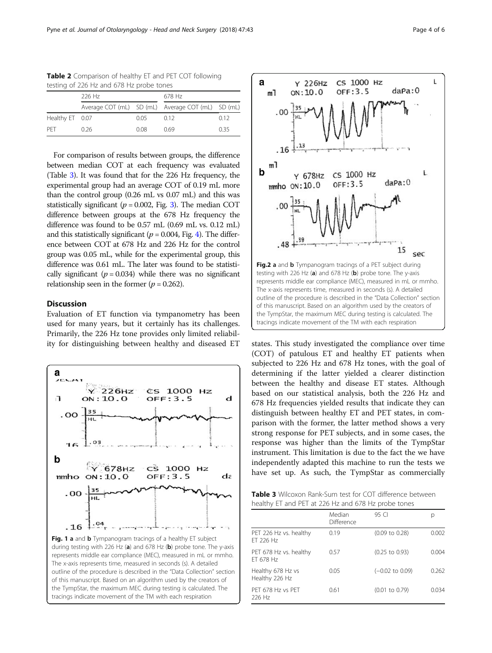| testing or zzo i iz and ozo i iz probe tones |          |      |                                                   |      |  |  |  |  |
|----------------------------------------------|----------|------|---------------------------------------------------|------|--|--|--|--|
|                                              | $226$ Hz |      | 678 Hz                                            |      |  |  |  |  |
|                                              |          |      | Average COT (mL) SD (mL) Average COT (mL) SD (mL) |      |  |  |  |  |
| Healthy ET 0.07                              |          | 005  | 0.12                                              | 0.12 |  |  |  |  |
| PFT.                                         | 0.26     | 0.08 | 069                                               | 0.35 |  |  |  |  |

<span id="page-3-0"></span>Table 2 Comparison of healthy ET and PET COT following testing of 226 Hz and 678 Hz probe tones

For comparison of results between groups, the difference between median COT at each frequency was evaluated (Table 3). It was found that for the 226 Hz frequency, the experimental group had an average COT of 0.19 mL more than the control group (0.26 mL vs 0.07 mL) and this was statistically significant ( $p = 0.002$ , Fig. [3\)](#page-4-0). The median COT difference between groups at the 678 Hz frequency the difference was found to be 0.57 mL (0.69 mL vs. 0.12 mL) and this statistically significant ( $p = 0.004$  $p = 0.004$ , Fig. 4). The difference between COT at 678 Hz and 226 Hz for the control group was 0.05 mL, while for the experimental group, this difference was 0.61 mL. The later was found to be statistically significant ( $p = 0.034$ ) while there was no significant relationship seen in the former ( $p = 0.262$ ).

# **Discussion**

Evaluation of ET function via tympanometry has been used for many years, but it certainly has its challenges. Primarily, the 226 Hz tone provides only limited reliability for distinguishing between healthy and diseased ET states. This study investigated the compliance over time







represents middle ear compliance (MEC), measured in mL or mmho. The x-axis represents time, measured in seconds (s). A detailed outline of the procedure is described in the "Data Collection" section of this manuscript. Based on an algorithm used by the creators of the TympStar, the maximum MEC during testing is calculated. The tracings indicate movement of the TM with each respiration

(COT) of patulous ET and healthy ET patients when subjected to 226 Hz and 678 Hz tones, with the goal of determining if the latter yielded a clearer distinction between the healthy and disease ET states. Although based on our statistical analysis, both the 226 Hz and 678 Hz frequencies yielded results that indicate they can distinguish between healthy ET and PET states, in comparison with the former, the latter method shows a very strong response for PET subjects, and in some cases, the response was higher than the limits of the TympStar instrument. This limitation is due to the fact the we have independently adapted this machine to run the tests we have set up. As such, the TympStar as commercially

|  |  |  |  | Table 3 Wilcoxon Rank-Sum test for COT difference between |  |  |
|--|--|--|--|-----------------------------------------------------------|--|--|
|  |  |  |  | healthy ET and PET at 226 Hz and 678 Hz probe tones       |  |  |

|                                     | Median<br>Difference | 95 CI                      | р     |
|-------------------------------------|----------------------|----------------------------|-------|
| PET 226 Hz vs. healthy<br>FT 226 Hz | 0.19                 | $(0.09 \text{ to } 0.28)$  | 0.002 |
| PET 678 Hz vs. healthy<br>FT 678 Hz | 0.57                 | $(0.25 \text{ to } 0.93)$  | 0.004 |
| Healthy 678 Hz vs<br>Healthy 226 Hz | 0.05                 | $(-0.02 \text{ to } 0.09)$ | 0.262 |
| PFT 678 Hz vs PFT<br>226 Hz         | 0.61                 | $(0.01$ to $0.79)$         | 0.034 |
|                                     |                      |                            |       |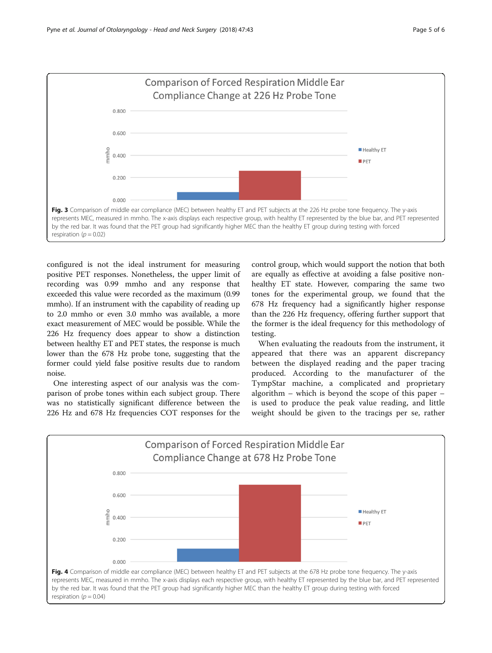<span id="page-4-0"></span>

configured is not the ideal instrument for measuring positive PET responses. Nonetheless, the upper limit of recording was 0.99 mmho and any response that exceeded this value were recorded as the maximum (0.99 mmho). If an instrument with the capability of reading up to 2.0 mmho or even 3.0 mmho was available, a more exact measurement of MEC would be possible. While the 226 Hz frequency does appear to show a distinction between healthy ET and PET states, the response is much lower than the 678 Hz probe tone, suggesting that the former could yield false positive results due to random noise.

One interesting aspect of our analysis was the comparison of probe tones within each subject group. There was no statistically significant difference between the 226 Hz and 678 Hz frequencies COT responses for the control group, which would support the notion that both are equally as effective at avoiding a false positive nonhealthy ET state. However, comparing the same two tones for the experimental group, we found that the 678 Hz frequency had a significantly higher response than the 226 Hz frequency, offering further support that the former is the ideal frequency for this methodology of testing.

When evaluating the readouts from the instrument, it appeared that there was an apparent discrepancy between the displayed reading and the paper tracing produced. According to the manufacturer of the TympStar machine, a complicated and proprietary algorithm – which is beyond the scope of this paper – is used to produce the peak value reading, and little weight should be given to the tracings per se, rather